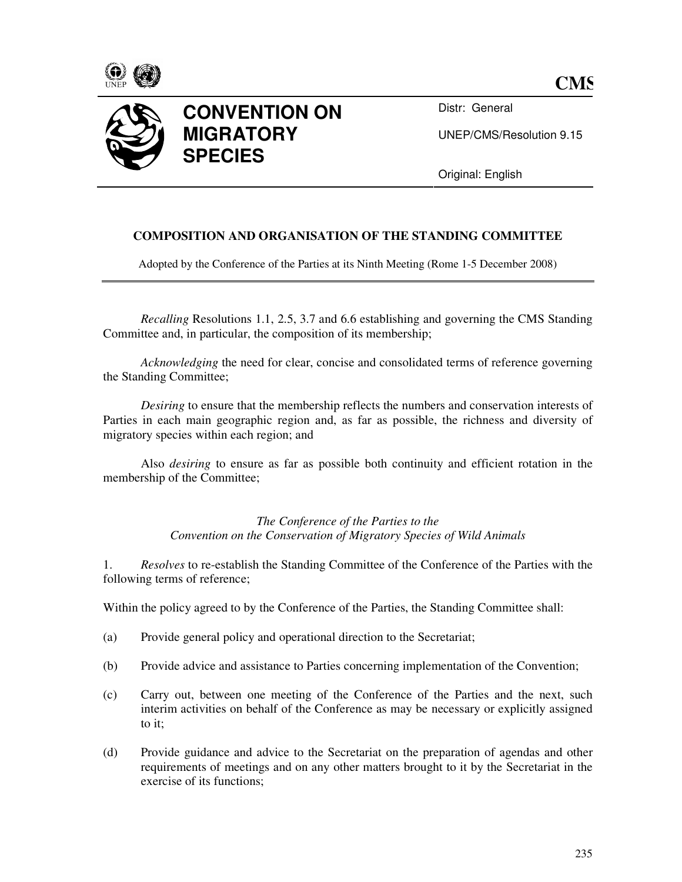



Distr: General

UNEP/CMS/Resolution 9.15

Original: English

## **COMPOSITION AND ORGANISATION OF THE STANDING COMMITTEE**

Adopted by the Conference of the Parties at its Ninth Meeting (Rome 1-5 December 2008)

*Recalling* Resolutions 1.1, 2.5, 3.7 and 6.6 establishing and governing the CMS Standing Committee and, in particular, the composition of its membership;

*Acknowledging* the need for clear, concise and consolidated terms of reference governing the Standing Committee;

*Desiring* to ensure that the membership reflects the numbers and conservation interests of Parties in each main geographic region and, as far as possible, the richness and diversity of migratory species within each region; and

Also *desiring* to ensure as far as possible both continuity and efficient rotation in the membership of the Committee;

> *The Conference of the Parties to the Convention on the Conservation of Migratory Species of Wild Animals*

1. *Resolves* to re-establish the Standing Committee of the Conference of the Parties with the following terms of reference;

Within the policy agreed to by the Conference of the Parties, the Standing Committee shall:

- (a) Provide general policy and operational direction to the Secretariat;
- (b) Provide advice and assistance to Parties concerning implementation of the Convention;
- (c) Carry out, between one meeting of the Conference of the Parties and the next, such interim activities on behalf of the Conference as may be necessary or explicitly assigned to it;
- (d) Provide guidance and advice to the Secretariat on the preparation of agendas and other requirements of meetings and on any other matters brought to it by the Secretariat in the exercise of its functions;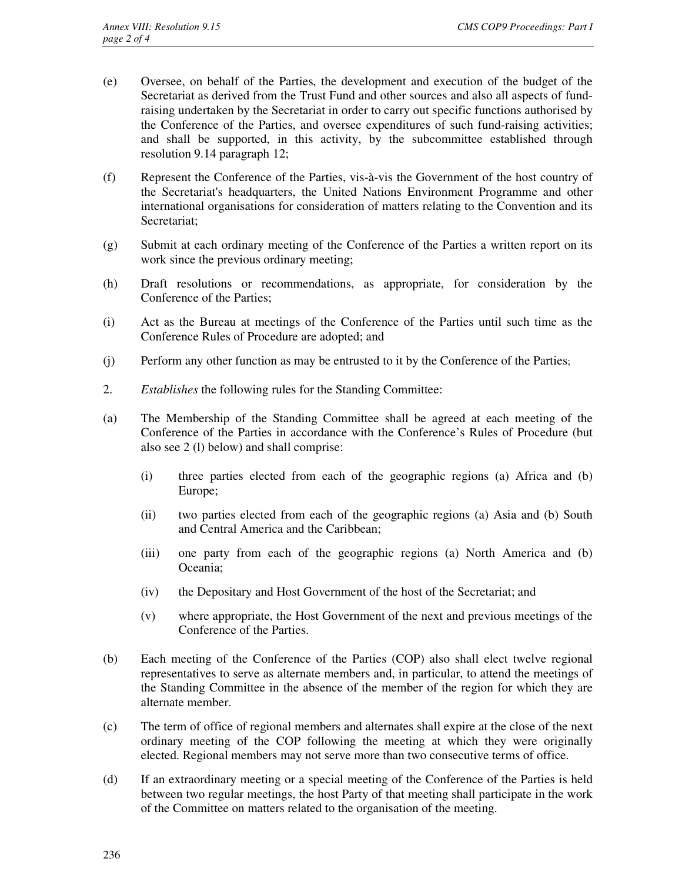- (e) Oversee, on behalf of the Parties, the development and execution of the budget of the Secretariat as derived from the Trust Fund and other sources and also all aspects of fundraising undertaken by the Secretariat in order to carry out specific functions authorised by the Conference of the Parties, and oversee expenditures of such fund-raising activities; and shall be supported, in this activity, by the subcommittee established through resolution 9.14 paragraph 12;
- (f) Represent the Conference of the Parties, vis-à-vis the Government of the host country of the Secretariat's headquarters, the United Nations Environment Programme and other international organisations for consideration of matters relating to the Convention and its Secretariat;
- (g) Submit at each ordinary meeting of the Conference of the Parties a written report on its work since the previous ordinary meeting;
- (h) Draft resolutions or recommendations, as appropriate, for consideration by the Conference of the Parties;
- (i) Act as the Bureau at meetings of the Conference of the Parties until such time as the Conference Rules of Procedure are adopted; and
- (j) Perform any other function as may be entrusted to it by the Conference of the Parties;
- 2. *Establishes* the following rules for the Standing Committee:
- (a) The Membership of the Standing Committee shall be agreed at each meeting of the Conference of the Parties in accordance with the Conference's Rules of Procedure (but also see 2 (l) below) and shall comprise:
	- (i) three parties elected from each of the geographic regions (a) Africa and (b) Europe;
	- (ii) two parties elected from each of the geographic regions (a) Asia and (b) South and Central America and the Caribbean;
	- (iii) one party from each of the geographic regions (a) North America and (b) Oceania;
	- (iv) the Depositary and Host Government of the host of the Secretariat; and
	- (v) where appropriate, the Host Government of the next and previous meetings of the Conference of the Parties.
- (b) Each meeting of the Conference of the Parties (COP) also shall elect twelve regional representatives to serve as alternate members and, in particular, to attend the meetings of the Standing Committee in the absence of the member of the region for which they are alternate member.
- (c) The term of office of regional members and alternates shall expire at the close of the next ordinary meeting of the COP following the meeting at which they were originally elected. Regional members may not serve more than two consecutive terms of office.
- (d) If an extraordinary meeting or a special meeting of the Conference of the Parties is held between two regular meetings, the host Party of that meeting shall participate in the work of the Committee on matters related to the organisation of the meeting.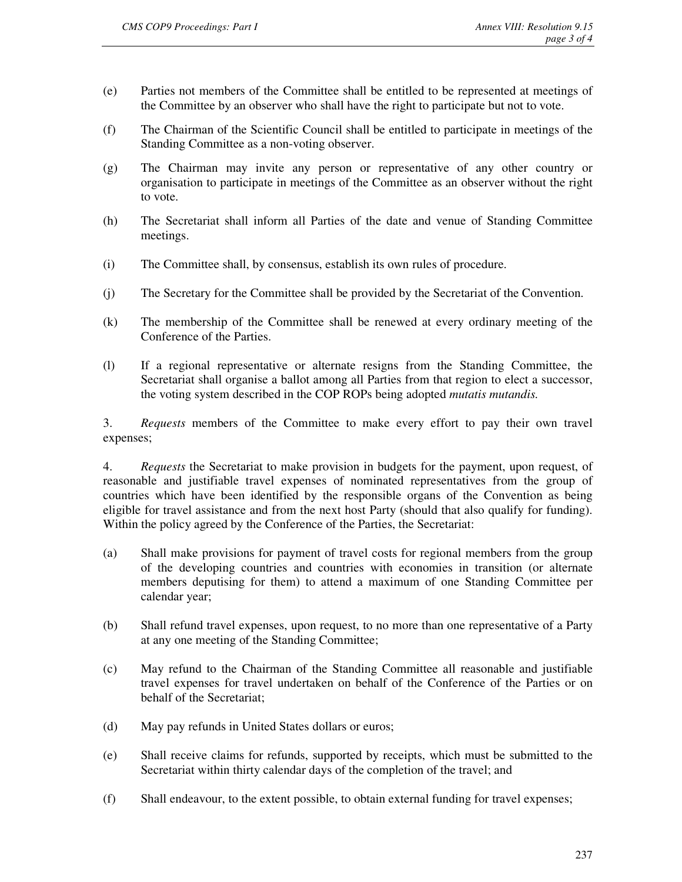- (e) Parties not members of the Committee shall be entitled to be represented at meetings of the Committee by an observer who shall have the right to participate but not to vote.
- (f) The Chairman of the Scientific Council shall be entitled to participate in meetings of the Standing Committee as a non-voting observer.
- (g) The Chairman may invite any person or representative of any other country or organisation to participate in meetings of the Committee as an observer without the right to vote.
- (h) The Secretariat shall inform all Parties of the date and venue of Standing Committee meetings.
- (i) The Committee shall, by consensus, establish its own rules of procedure.
- (j) The Secretary for the Committee shall be provided by the Secretariat of the Convention.
- (k) The membership of the Committee shall be renewed at every ordinary meeting of the Conference of the Parties.
- (l) If a regional representative or alternate resigns from the Standing Committee, the Secretariat shall organise a ballot among all Parties from that region to elect a successor, the voting system described in the COP ROPs being adopted *mutatis mutandis.*

3. *Requests* members of the Committee to make every effort to pay their own travel expenses;

4. *Requests* the Secretariat to make provision in budgets for the payment, upon request, of reasonable and justifiable travel expenses of nominated representatives from the group of countries which have been identified by the responsible organs of the Convention as being eligible for travel assistance and from the next host Party (should that also qualify for funding). Within the policy agreed by the Conference of the Parties, the Secretariat:

- (a) Shall make provisions for payment of travel costs for regional members from the group of the developing countries and countries with economies in transition (or alternate members deputising for them) to attend a maximum of one Standing Committee per calendar year;
- (b) Shall refund travel expenses, upon request, to no more than one representative of a Party at any one meeting of the Standing Committee;
- (c) May refund to the Chairman of the Standing Committee all reasonable and justifiable travel expenses for travel undertaken on behalf of the Conference of the Parties or on behalf of the Secretariat;
- (d) May pay refunds in United States dollars or euros;
- (e) Shall receive claims for refunds, supported by receipts, which must be submitted to the Secretariat within thirty calendar days of the completion of the travel; and
- (f) Shall endeavour, to the extent possible, to obtain external funding for travel expenses;